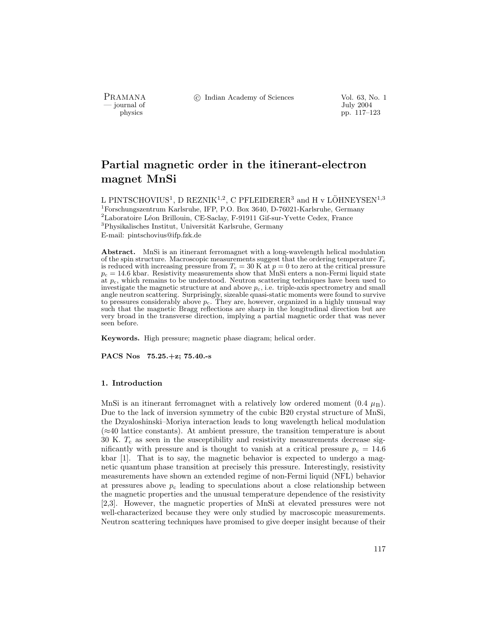PRAMANA °c Indian Academy of Sciences Vol. 63, No. 1

urnal of July 2004<br>
physics pp. 117–1 pp. 117–123

# Partial magnetic order in the itinerant-electron magnet MnSi

L PINTSCHOVIUS<sup>1</sup>, D REZNIK<sup>1,2</sup>, C PFLEIDERER<sup>3</sup> and H v LÖHNEYSEN<sup>1,3</sup> <sup>1</sup>Forschungszentrum Karlsruhe, IFP, P.O. Box 3640, D-76021-Karlsruhe, Germany

 $2$ Laboratoire Léon Brillouin, CE-Saclay, F-91911 Gif-sur-Yvette Cedex, France

<sup>3</sup>Physikalisches Institut, Universität Karlsruhe, Germany

E-mail: pintschovius@ifp.fzk.de

Abstract. MnSi is an itinerant ferromagnet with a long-wavelength helical modulation of the spin structure. Macroscopic measurements suggest that the ordering temperature  $T_c$ is reduced with increasing pressure from  $T_c = 30$  K at  $p = 0$  to zero at the critical pressure  $p_c = 14.6$  kbar. Resistivity measurements show that MnSi enters a non-Fermi liquid state at  $p_c$ , which remains to be understood. Neutron scattering techniques have been used to investigate the magnetic structure at and above  $p_c$ , i.e. triple-axis spectrometry and small angle neutron scattering. Surprisingly, sizeable quasi-static moments were found to survive to pressures considerably above  $p_c$ . They are, however, organized in a highly unusual way such that the magnetic Bragg reflections are sharp in the longitudinal direction but are very broad in the transverse direction, implying a partial magnetic order that was never seen before.

Keywords. High pressure; magnetic phase diagram; helical order.

PACS Nos 75.25.+z; 75.40.-s

## 1. Introduction

MnSi is an itinerant ferromagnet with a relatively low ordered moment  $(0.4 \mu_B)$ . Due to the lack of inversion symmetry of the cubic B20 crystal structure of MnSi, the Dzyaloshinski–Moriya interaction leads to long wavelength helical modulation  $(\approx 40 \text{ lattice constants}).$  At ambient pressure, the transition temperature is about  $30$  K.  $T_c$  as seen in the susceptibility and resistivity measurements decrease significantly with pressure and is thought to vanish at a critical pressure  $p_c = 14.6$ kbar [1]. That is to say, the magnetic behavior is expected to undergo a magnetic quantum phase transition at precisely this pressure. Interestingly, resistivity measurements have shown an extended regime of non-Fermi liquid (NFL) behavior at pressures above  $p_c$  leading to speculations about a close relationship between the magnetic properties and the unusual temperature dependence of the resistivity [2,3]. However, the magnetic properties of MnSi at elevated pressures were not well-characterized because they were only studied by macroscopic measurements. Neutron scattering techniques have promised to give deeper insight because of their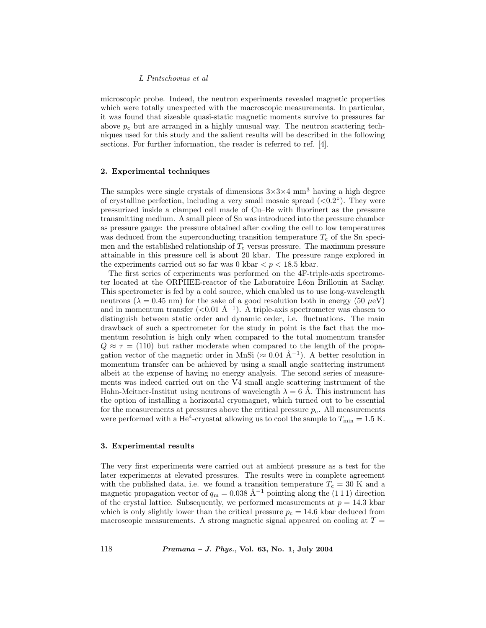#### L Pintschovius et al

microscopic probe. Indeed, the neutron experiments revealed magnetic properties which were totally unexpected with the macroscopic measurements. In particular, it was found that sizeable quasi-static magnetic moments survive to pressures far above  $p_c$  but are arranged in a highly unusual way. The neutron scattering techniques used for this study and the salient results will be described in the following sections. For further information, the reader is referred to ref. [4].

#### 2. Experimental techniques

The samples were single crystals of dimensions  $3\times3\times4$  mm<sup>3</sup> having a high degree of crystalline perfection, including a very small mosaic spread  $(<0.2°)$ . They were pressurized inside a clamped cell made of Cu–Be with fluorinert as the pressure transmitting medium. A small piece of Sn was introduced into the pressure chamber as pressure gauge: the pressure obtained after cooling the cell to low temperatures was deduced from the superconducting transition temperature  $T_c$  of the Sn specimen and the established relationship of  $T_c$  versus pressure. The maximum pressure attainable in this pressure cell is about 20 kbar. The pressure range explored in the experiments carried out so far was 0 kbar  $\lt p \lt 18.5$  kbar.

The first series of experiments was performed on the 4F-triple-axis spectrometer located at the ORPHEE-reactor of the Laboratoire Léon Brillouin at Saclay. This spectrometer is fed by a cold source, which enabled us to use long-wavelength neutrons ( $\lambda = 0.45$  nm) for the sake of a good resolution both in energy (50  $\mu$ eV) and in momentum transfer (<0.01 Å<sup>-1</sup>). A triple-axis spectrometer was chosen to distinguish between static order and dynamic order, i.e. fluctuations. The main drawback of such a spectrometer for the study in point is the fact that the momentum resolution is high only when compared to the total momentum transfer  $Q \approx \tau = (110)$  but rather moderate when compared to the length of the propagation vector of the magnetic order in MnSi ( $\approx 0.04 \text{ Å}^{-1}$ ). A better resolution in momentum transfer can be achieved by using a small angle scattering instrument albeit at the expense of having no energy analysis. The second series of measurements was indeed carried out on the V4 small angle scattering instrument of the Hahn-Meitner-Institut using neutrons of wavelength  $\lambda = 6$  Å. This instrument has the option of installing a horizontal cryomagnet, which turned out to be essential for the measurements at pressures above the critical pressure  $p_c$ . All measurements were performed with a He<sup>4</sup>-cryostat allowing us to cool the sample to  $T_{\text{min}} = 1.5$  K.

#### 3. Experimental results

The very first experiments were carried out at ambient pressure as a test for the later experiments at elevated pressures. The results were in complete agreement with the published data, i.e. we found a transition temperature  $T_c = 30$  K and a magnetic propagation vector of  $q_m = 0.038 \text{ Å}^{-1}$  pointing along the (111) direction of the crystal lattice. Subsequently, we performed measurements at  $p = 14.3$  kbar which is only slightly lower than the critical pressure  $p_c = 14.6$  kbar deduced from macroscopic measurements. A strong magnetic signal appeared on cooling at  $T =$ 

118 Pramana – J. Phys., Vol. 63, No. 1, July 2004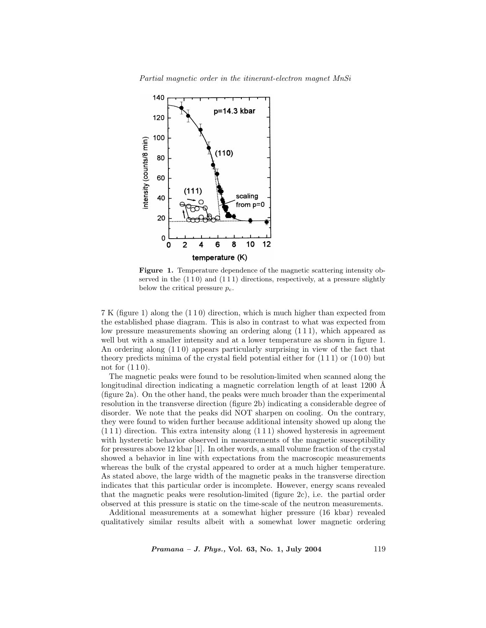Partial magnetic order in the itinerant-electron magnet MnSi



Figure 1. Temperature dependence of the magnetic scattering intensity observed in the  $(110)$  and  $(111)$  directions, respectively, at a pressure slightly below the critical pressure  $p_c$ .

7 K (figure 1) along the (1 1 0) direction, which is much higher than expected from the established phase diagram. This is also in contrast to what was expected from low pressure measurements showing an ordering along (1 1 1), which appeared as well but with a smaller intensity and at a lower temperature as shown in figure 1. An ordering along (1 1 0) appears particularly surprising in view of the fact that theory predicts minima of the crystal field potential either for  $(111)$  or  $(100)$  but not for  $(110)$ .

The magnetic peaks were found to be resolution-limited when scanned along the longitudinal direction indicating a magnetic correlation length of at least  $1200 \text{ Å}$ (figure 2a). On the other hand, the peaks were much broader than the experimental resolution in the transverse direction (figure 2b) indicating a considerable degree of disorder. We note that the peaks did NOT sharpen on cooling. On the contrary, they were found to widen further because additional intensity showed up along the  $(111)$  direction. This extra intensity along  $(111)$  showed hysteresis in agreement with hysteretic behavior observed in measurements of the magnetic susceptibility for pressures above 12 kbar [1]. In other words, a small volume fraction of the crystal showed a behavior in line with expectations from the macroscopic measurements whereas the bulk of the crystal appeared to order at a much higher temperature. As stated above, the large width of the magnetic peaks in the transverse direction indicates that this particular order is incomplete. However, energy scans revealed that the magnetic peaks were resolution-limited (figure 2c), i.e. the partial order observed at this pressure is static on the time-scale of the neutron measurements.

Additional measurements at a somewhat higher pressure (16 kbar) revealed qualitatively similar results albeit with a somewhat lower magnetic ordering

Pramana – J. Phys., Vol. 63, No. 1, July 2004 119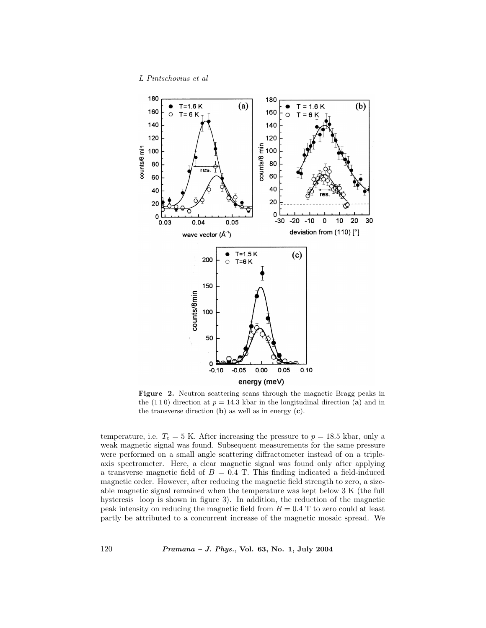L Pintschovius et al



Figure 2. Neutron scattering scans through the magnetic Bragg peaks in the (110) direction at  $p = 14.3$  kbar in the longitudinal direction (a) and in the transverse direction  $(b)$  as well as in energy  $(c)$ .

temperature, i.e.  $T_c = 5$  K. After increasing the pressure to  $p = 18.5$  kbar, only a weak magnetic signal was found. Subsequent measurements for the same pressure were performed on a small angle scattering diffractometer instead of on a tripleaxis spectrometer. Here, a clear magnetic signal was found only after applying a transverse magnetic field of  $B = 0.4$  T. This finding indicated a field-induced magnetic order. However, after reducing the magnetic field strength to zero, a sizeable magnetic signal remained when the temperature was kept below 3 K (the full hysteresis loop is shown in figure 3). In addition, the reduction of the magnetic peak intensity on reducing the magnetic field from  $B = 0.4$  T to zero could at least partly be attributed to a concurrent increase of the magnetic mosaic spread. We

120 Pramana – J. Phys., Vol. 63, No. 1, July 2004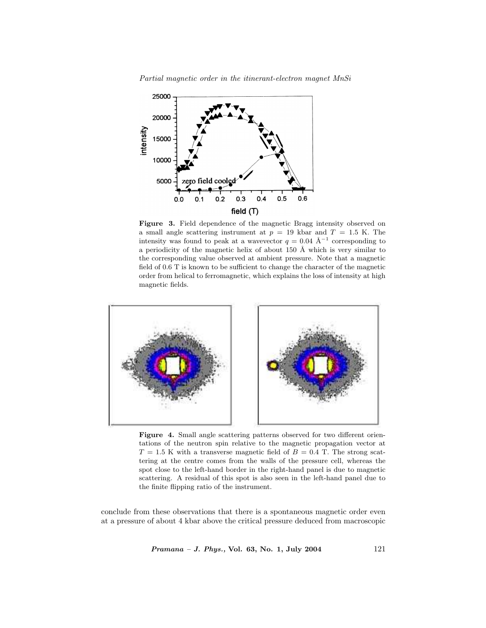Partial magnetic order in the itinerant-electron magnet MnSi



Figure 3. Field dependence of the magnetic Bragg intensity observed on a small angle scattering instrument at  $p = 19$  kbar and  $T = 1.5$  K. The intensity was found to peak at a wavevector  $q = 0.04 \text{ Å}^{-1}$  corresponding to a periodicity of the magnetic helix of about 150  $\AA$  which is very similar to the corresponding value observed at ambient pressure. Note that a magnetic field of 0.6 T is known to be sufficient to change the character of the magnetic order from helical to ferromagnetic, which explains the loss of intensity at high magnetic fields.



Figure 4. Small angle scattering patterns observed for two different orientations of the neutron spin relative to the magnetic propagation vector at  $T = 1.5$  K with a transverse magnetic field of  $B = 0.4$  T. The strong scattering at the centre comes from the walls of the pressure cell, whereas the spot close to the left-hand border in the right-hand panel is due to magnetic scattering. A residual of this spot is also seen in the left-hand panel due to the finite flipping ratio of the instrument.

conclude from these observations that there is a spontaneous magnetic order even at a pressure of about 4 kbar above the critical pressure deduced from macroscopic

Pramana - J. Phys., Vol. 63, No. 1, July 2004 121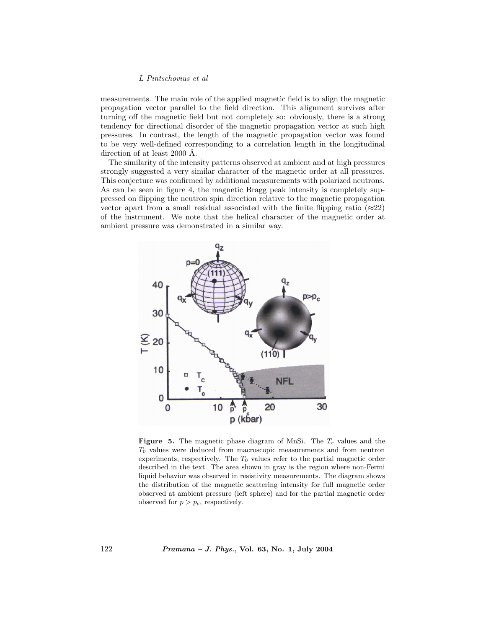#### L Pintschovius et al

measurements. The main role of the applied magnetic field is to align the magnetic propagation vector parallel to the field direction. This alignment survives after turning off the magnetic field but not completely so: obviously, there is a strong tendency for directional disorder of the magnetic propagation vector at such high pressures. In contrast, the length of the magnetic propagation vector was found to be very well-defined corresponding to a correlation length in the longitudinal direction of at least  $2000$  Å.

The similarity of the intensity patterns observed at ambient and at high pressures strongly suggested a very similar character of the magnetic order at all pressures. This conjecture was confirmed by additional measurements with polarized neutrons. As can be seen in figure 4, the magnetic Bragg peak intensity is completely suppressed on flipping the neutron spin direction relative to the magnetic propagation vector apart from a small residual associated with the finite flipping ratio ( $\approx$ 22) of the instrument. We note that the helical character of the magnetic order at ambient pressure was demonstrated in a similar way.



**Figure 5.** The magnetic phase diagram of MnSi. The  $T_c$  values and the  $T_0$  values were deduced from macroscopic measurements and from neutron experiments, respectively. The  $T_0$  values refer to the partial magnetic order described in the text. The area shown in gray is the region where non-Fermi liquid behavior was observed in resistivity measurements. The diagram shows the distribution of the magnetic scattering intensity for full magnetic order observed at ambient pressure (left sphere) and for the partial magnetic order observed for  $p > p_c$ , respectively.

122 Pramana – J. Phys., Vol. 63, No. 1, July 2004